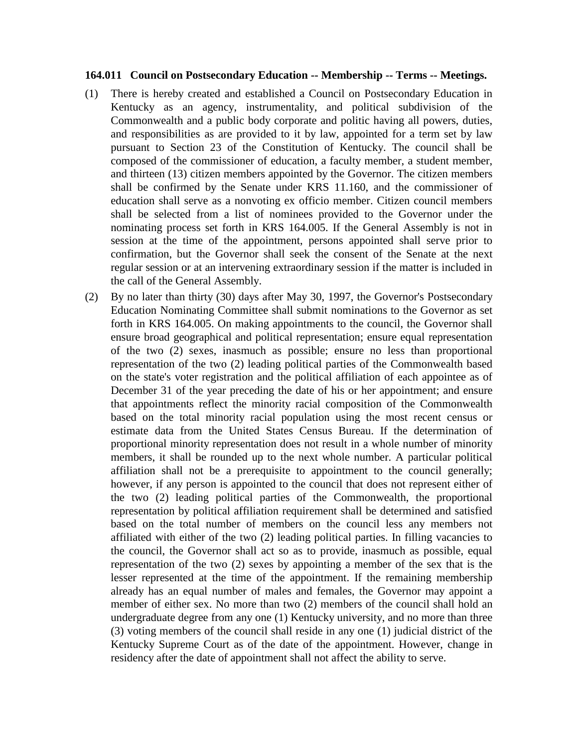## **164.011 Council on Postsecondary Education -- Membership -- Terms -- Meetings.**

- (1) There is hereby created and established a Council on Postsecondary Education in Kentucky as an agency, instrumentality, and political subdivision of the Commonwealth and a public body corporate and politic having all powers, duties, and responsibilities as are provided to it by law, appointed for a term set by law pursuant to Section 23 of the Constitution of Kentucky. The council shall be composed of the commissioner of education, a faculty member, a student member, and thirteen (13) citizen members appointed by the Governor. The citizen members shall be confirmed by the Senate under KRS 11.160, and the commissioner of education shall serve as a nonvoting ex officio member. Citizen council members shall be selected from a list of nominees provided to the Governor under the nominating process set forth in KRS 164.005. If the General Assembly is not in session at the time of the appointment, persons appointed shall serve prior to confirmation, but the Governor shall seek the consent of the Senate at the next regular session or at an intervening extraordinary session if the matter is included in the call of the General Assembly.
- (2) By no later than thirty (30) days after May 30, 1997, the Governor's Postsecondary Education Nominating Committee shall submit nominations to the Governor as set forth in KRS 164.005. On making appointments to the council, the Governor shall ensure broad geographical and political representation; ensure equal representation of the two (2) sexes, inasmuch as possible; ensure no less than proportional representation of the two (2) leading political parties of the Commonwealth based on the state's voter registration and the political affiliation of each appointee as of December 31 of the year preceding the date of his or her appointment; and ensure that appointments reflect the minority racial composition of the Commonwealth based on the total minority racial population using the most recent census or estimate data from the United States Census Bureau. If the determination of proportional minority representation does not result in a whole number of minority members, it shall be rounded up to the next whole number. A particular political affiliation shall not be a prerequisite to appointment to the council generally; however, if any person is appointed to the council that does not represent either of the two (2) leading political parties of the Commonwealth, the proportional representation by political affiliation requirement shall be determined and satisfied based on the total number of members on the council less any members not affiliated with either of the two (2) leading political parties. In filling vacancies to the council, the Governor shall act so as to provide, inasmuch as possible, equal representation of the two (2) sexes by appointing a member of the sex that is the lesser represented at the time of the appointment. If the remaining membership already has an equal number of males and females, the Governor may appoint a member of either sex. No more than two (2) members of the council shall hold an undergraduate degree from any one (1) Kentucky university, and no more than three (3) voting members of the council shall reside in any one (1) judicial district of the Kentucky Supreme Court as of the date of the appointment. However, change in residency after the date of appointment shall not affect the ability to serve.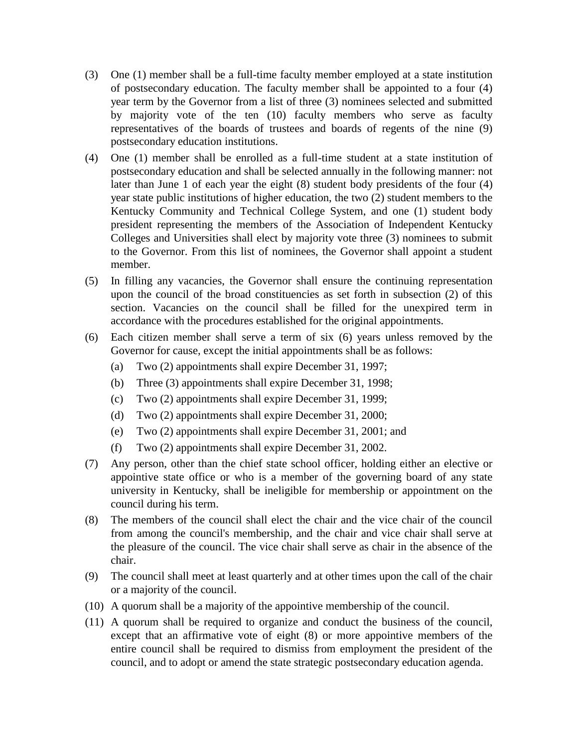- (3) One (1) member shall be a full-time faculty member employed at a state institution of postsecondary education. The faculty member shall be appointed to a four (4) year term by the Governor from a list of three (3) nominees selected and submitted by majority vote of the ten (10) faculty members who serve as faculty representatives of the boards of trustees and boards of regents of the nine (9) postsecondary education institutions.
- (4) One (1) member shall be enrolled as a full-time student at a state institution of postsecondary education and shall be selected annually in the following manner: not later than June 1 of each year the eight (8) student body presidents of the four (4) year state public institutions of higher education, the two (2) student members to the Kentucky Community and Technical College System, and one (1) student body president representing the members of the Association of Independent Kentucky Colleges and Universities shall elect by majority vote three (3) nominees to submit to the Governor. From this list of nominees, the Governor shall appoint a student member.
- (5) In filling any vacancies, the Governor shall ensure the continuing representation upon the council of the broad constituencies as set forth in subsection (2) of this section. Vacancies on the council shall be filled for the unexpired term in accordance with the procedures established for the original appointments.
- (6) Each citizen member shall serve a term of six (6) years unless removed by the Governor for cause, except the initial appointments shall be as follows:
	- (a) Two (2) appointments shall expire December 31, 1997;
	- (b) Three (3) appointments shall expire December 31, 1998;
	- (c) Two (2) appointments shall expire December 31, 1999;
	- (d) Two (2) appointments shall expire December 31, 2000;
	- (e) Two (2) appointments shall expire December 31, 2001; and
	- (f) Two (2) appointments shall expire December 31, 2002.
- (7) Any person, other than the chief state school officer, holding either an elective or appointive state office or who is a member of the governing board of any state university in Kentucky, shall be ineligible for membership or appointment on the council during his term.
- (8) The members of the council shall elect the chair and the vice chair of the council from among the council's membership, and the chair and vice chair shall serve at the pleasure of the council. The vice chair shall serve as chair in the absence of the chair.
- (9) The council shall meet at least quarterly and at other times upon the call of the chair or a majority of the council.
- (10) A quorum shall be a majority of the appointive membership of the council.
- (11) A quorum shall be required to organize and conduct the business of the council, except that an affirmative vote of eight (8) or more appointive members of the entire council shall be required to dismiss from employment the president of the council, and to adopt or amend the state strategic postsecondary education agenda.